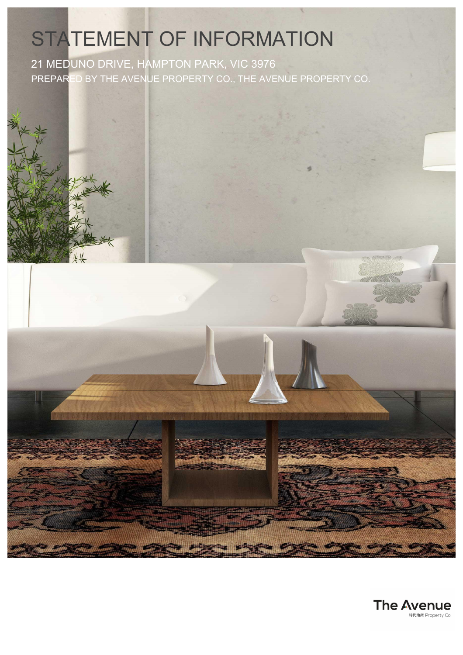# STATEMENT OF INFORMATION

21 MEDUNO DRIVE, HAMPTON PARK, VIC 3976 PREPARED BY THE AVENUE PROPERTY CO., THE AVENUE PROPERTY CO.



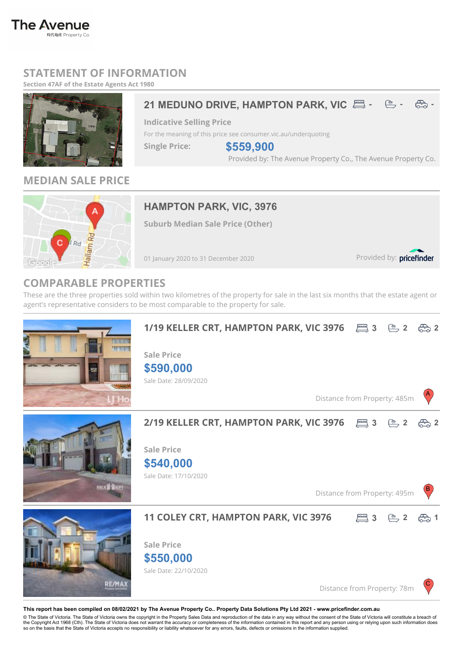# **STATEMENT OF INFORMATION**

**Section 47AF of the Estate Agents Act 1980**



**The Avenue** 

時代地產 Property Co

### **21 MEDUNO DRIVE, HAMPTON PARK, VIC**  $\Xi$  **-**  $\Xi$  **-**  $\Xi$  **-**  $\Xi$

**Indicative Selling Price**

For the meaning of this price see consumer.vic.au/underquoting

**Single Price:**

**\$559,900**

Provided by: The Avenue Property Co., The Avenue Property Co.



**MEDIAN SALE PRICE**

## **HAMPTON PARK, VIC, 3976**

**Suburb Median Sale Price (Other)**

01 January 2020 to 31 December 2020

Provided by: pricefinder

**3 2 2**

**3 2 2**

**3 2 1**

A

B

C

### **COMPARABLE PROPERTIES**

These are the three properties sold within two kilometres of the property for sale in the last six months that the estate agent or agent's representative considers to be most comparable to the property for sale.



Sale Date: 22/10/2020

Distance from Property: 78m

#### **This report has been compiled on 08/02/2021 by The Avenue Property Co.. Property Data Solutions Pty Ltd 2021 - www.pricefinder.com.au**

© The State of Victoria. The State of Victoria owns the copyright in the Property Sales Data and reproduction of the data in any way without the consent of the State of Victoria will constitute a breach of<br>the Copyright Ac so on the basis that the State of Victoria accepts no responsibility or liability whatsoever for any errors, faults, defects or omissions in the information supplied.